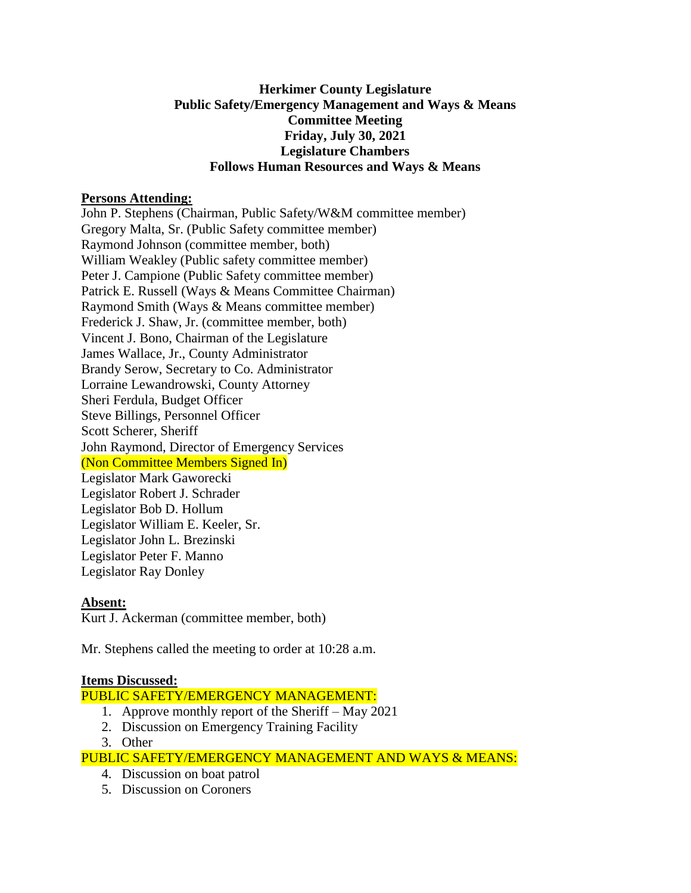## **Herkimer County Legislature Public Safety/Emergency Management and Ways & Means Committee Meeting Friday, July 30, 2021 Legislature Chambers Follows Human Resources and Ways & Means**

### **Persons Attending:**

John P. Stephens (Chairman, Public Safety/W&M committee member) Gregory Malta, Sr. (Public Safety committee member) Raymond Johnson (committee member, both) William Weakley (Public safety committee member) Peter J. Campione (Public Safety committee member) Patrick E. Russell (Ways & Means Committee Chairman) Raymond Smith (Ways & Means committee member) Frederick J. Shaw, Jr. (committee member, both) Vincent J. Bono, Chairman of the Legislature James Wallace, Jr., County Administrator Brandy Serow, Secretary to Co. Administrator Lorraine Lewandrowski, County Attorney Sheri Ferdula, Budget Officer Steve Billings, Personnel Officer Scott Scherer, Sheriff John Raymond, Director of Emergency Services (Non Committee Members Signed In) Legislator Mark Gaworecki Legislator Robert J. Schrader Legislator Bob D. Hollum Legislator William E. Keeler, Sr. Legislator John L. Brezinski Legislator Peter F. Manno Legislator Ray Donley

# **Absent:**

Kurt J. Ackerman (committee member, both)

Mr. Stephens called the meeting to order at 10:28 a.m.

### **Items Discussed:**

PUBLIC SAFETY/EMERGENCY MANAGEMENT:

- 1. Approve monthly report of the Sheriff May 2021
- 2. Discussion on Emergency Training Facility
- 3. Other

PUBLIC SAFETY/EMERGENCY MANAGEMENT AND WAYS & MEANS:

- 4. Discussion on boat patrol
- 5. Discussion on Coroners